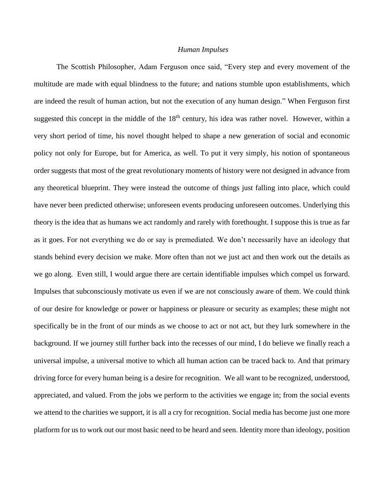## *Human Impulses*

The Scottish Philosopher, Adam Ferguson once said, "Every step and every movement of the multitude are made with equal blindness to the future; and nations stumble upon establishments, which are indeed the result of human action, but not the execution of any human design." When Ferguson first suggested this concept in the middle of the  $18<sup>th</sup>$  century, his idea was rather novel. However, within a very short period of time, his novel thought helped to shape a new generation of social and economic policy not only for Europe, but for America, as well. To put it very simply, his notion of spontaneous order suggests that most of the great revolutionary moments of history were not designed in advance from any theoretical blueprint. They were instead the outcome of things just falling into place, which could have never been predicted otherwise; unforeseen events producing unforeseen outcomes. Underlying this theory is the idea that as humans we act randomly and rarely with forethought. I suppose this is true as far as it goes. For not everything we do or say is premediated. We don't necessarily have an ideology that stands behind every decision we make. More often than not we just act and then work out the details as we go along. Even still, I would argue there are certain identifiable impulses which compel us forward. Impulses that subconsciously motivate us even if we are not consciously aware of them. We could think of our desire for knowledge or power or happiness or pleasure or security as examples; these might not specifically be in the front of our minds as we choose to act or not act, but they lurk somewhere in the background. If we journey still further back into the recesses of our mind, I do believe we finally reach a universal impulse, a universal motive to which all human action can be traced back to. And that primary driving force for every human being is a desire for recognition. We all want to be recognized, understood, appreciated, and valued. From the jobs we perform to the activities we engage in; from the social events we attend to the charities we support, it is all a cry for recognition. Social media has become just one more platform for us to work out our most basic need to be heard and seen. Identity more than ideology, position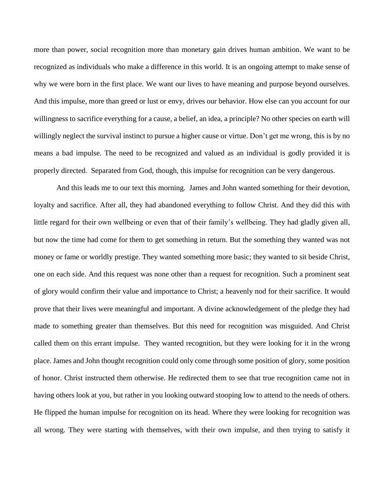more than power, social recognition more than monetary gain drives human ambition. We want to be recognized as individuals who make a difference in this world. It is an ongoing attempt to make sense of why we were born in the first place. We want our lives to have meaning and purpose beyond ourselves. And this impulse, more than greed or lust or envy, drives our behavior. How else can you account for our willingness to sacrifice everything for a cause, a belief, an idea, a principle? No other species on earth will willingly neglect the survival instinct to pursue a higher cause or virtue. Don't get me wrong, this is by no means a bad impulse. The need to be recognized and valued as an individual is godly provided it is properly directed. Separated from God, though, this impulse for recognition can be very dangerous.

And this leads me to our text this morning. James and John wanted something for their devotion, loyalty and sacrifice. After all, they had abandoned everything to follow Christ. And they did this with little regard for their own wellbeing or even that of their family's wellbeing. They had gladly given all, but now the time had come for them to get something in return. But the something they wanted was not money or fame or worldly prestige. They wanted something more basic; they wanted to sit beside Christ, one on each side. And this request was none other than a request for recognition. Such a prominent seat of glory would confirm their value and importance to Christ; a heavenly nod for their sacrifice. It would prove that their lives were meaningful and important. A divine acknowledgement of the pledge they had made to something greater than themselves. But this need for recognition was misguided. And Christ called them on this errant impulse. They wanted recognition, but they were looking for it in the wrong place. James and John thought recognition could only come through some position of glory, some position of honor. Christ instructed them otherwise. He redirected them to see that true recognition came not in having others look at you, but rather in you looking outward stooping low to attend to the needs of others. He flipped the human impulse for recognition on its head. Where they were looking for recognition was all wrong. They were starting with themselves, with their own impulse, and then trying to satisfy it